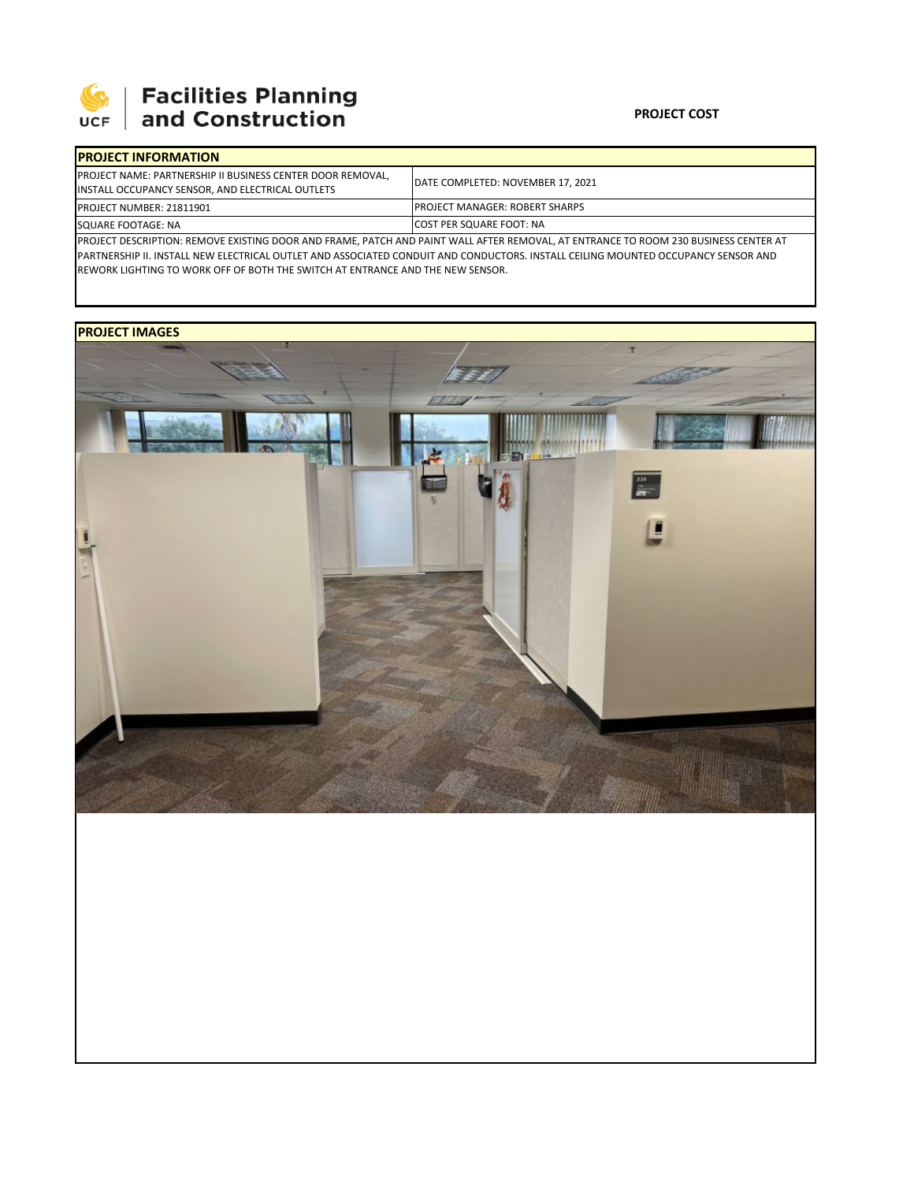

## **SEPTE SECUTE SECULIES Planning**<br>UCF and Construction

| <b>IPROJECT INFORMATION</b>                                                                                                           |                                        |  |  |  |
|---------------------------------------------------------------------------------------------------------------------------------------|----------------------------------------|--|--|--|
| <b>PROJECT NAME: PARTNERSHIP II BUSINESS CENTER DOOR REMOVAL,</b><br>INSTALL OCCUPANCY SENSOR, AND ELECTRICAL OUTLETS                 | DATE COMPLETED: NOVEMBER 17, 2021      |  |  |  |
| <b>PROJECT NUMBER: 21811901</b>                                                                                                       | <b>IPROJECT MANAGER: ROBERT SHARPS</b> |  |  |  |
| SQUARE FOOTAGE: NA                                                                                                                    | <b>ICOST PER SQUARE FOOT: NA</b>       |  |  |  |
| IPROJECT DESCRIPTION: REMOVE EXISTING DOOR AND FRAME. PATCH AND PAINT WALL AFTER REMOVAL. AT ENTRANCE TO ROOM 230 BLISINESS CENTER AT |                                        |  |  |  |

PROJECT DESCRIPTION: REMOVE EXISTING DOOR AND FRAME, PATCH AND PAINT WALL AFTER REMOVAL, AT ENTRANCE TO ROOM 230 BUSINESS CENTER AT PARTNERSHIP II. INSTALL NEW ELECTRICAL OUTLET AND ASSOCIATED CONDUIT AND CONDUCTORS. INSTALL CEILING MOUNTED OCCUPANCY SENSOR AND REWORK LIGHTING TO WORK OFF OF BOTH THE SWITCH AT ENTRANCE AND THE NEW SENSOR.

## **PROJECT IMAGES**